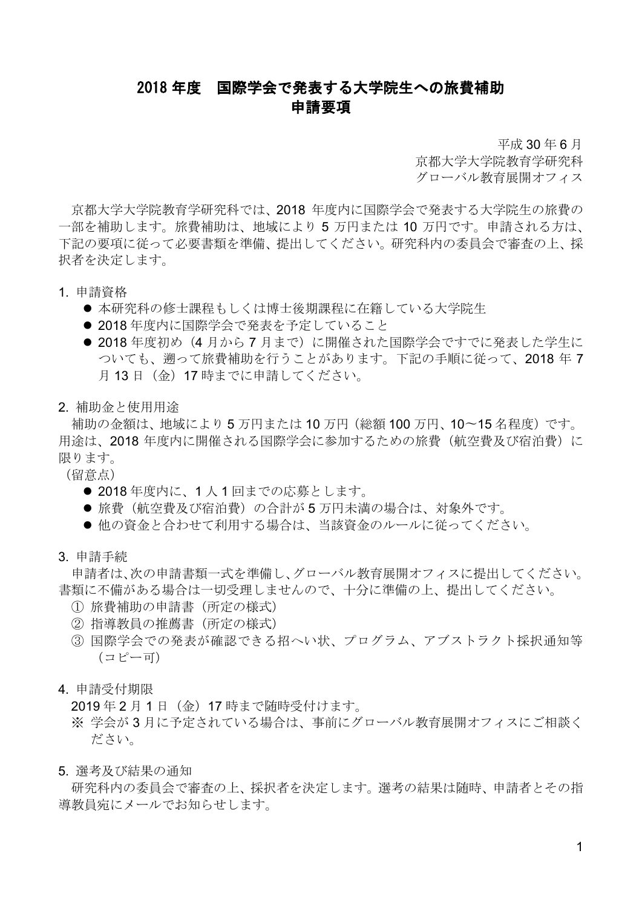## 2018 年度 国際学会で発表する大学院生への旅費補助 申請要項

平成 30 年 6 月

京都大学大学院教育学研究科 グローバル教育展開オフィス

京都大学大学院教育学研究科では、2018 年度内に国際学会で発表する大学院生の旅費の 一部を補助します。旅費補助は、地域により 5 万円または 10 万円です。申請される方は、 下記の要項に従って必要書類を準備、提出してください。研究科内の委員会で審査の上、採 択者を決定します。

- 1. 申請資格
	- 本研究科の修士課程もしくは博士後期課程に在籍している大学院生
	- 2018年度内に国際学会で発表を予定していること
	- 2018年度初め(4月から7月まで)に開催された国際学会ですでに発表した学生に ついても、遡って旅費補助を行うことがあります。下記の手順に従って、2018 年 7 月13日 (金) 17 時までに申請してください。
- 2. 補助金と使用用途

補助の金額は、地域により 5 万円または 10 万円(総額 100 万円、10〜15 名程度)です。 用途は、2018年度内に開催される国際学会に参加するための旅費(航空費及び宿泊費)に 限ります。

(留意点)

- 2018年度内に、1人1回までの応募とします。
- ●旅費(航空費及び宿泊費)の合計が5万円未満の場合は、対象外です。
- ●他の資金と合わせて利用する場合は、当該資金のルールに従ってください。
- 3. 申請手続

申請者は、次の申請書類一式を準備し、グローバル教育展開オフィスに提出してください。 書類に不備がある場合は一切受理しませんので、十分に準備の上、提出してください。

- ① 旅費補助の申請書(所定の様式)
- ② 指導教員の推薦書(所定の様式)
- ③ 国際学会での発表が確認できる招へい状、プログラム、アブストラクト採択通知等 (コピー可)
- 4. 申請受付期限

2019 年 2 月 1 日(金)17 時まで随時受付けます。

- ※ 学会が 3 月に予定されている場合は、事前にグローバル教育展開オフィスにご相談く ださい。
- 5. 選考及び結果の通知

研究科内の委員会で審査の上、採択者を決定します。選考の結果は随時、申請者とその指 導教員宛にメールでお知らせします。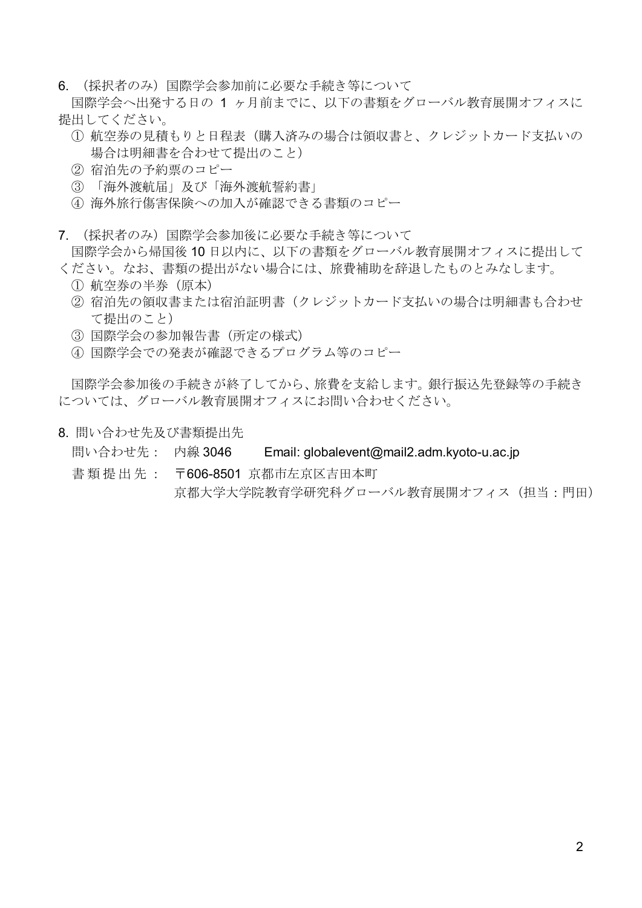6. (採択者のみ)国際学会参加前に必要な手続き等について

国際学会へ出発する日の 1 ヶ月前までに、以下の書類をグローバル教育展開オフィスに 提出してください。

- ① 航空券の見積もりと日程表(購入済みの場合は領収書と、クレジットカード支払いの 場合は明細書を合わせて提出のこと)
- ② 宿泊先の予約票のコピー
- ③ 「海外渡航届」及び「海外渡航誓約書」
- ④ 海外旅行傷害保険への加入が確認できる書類のコピー
- 7. (採択者のみ)国際学会参加後に必要な手続き等について 国際学会から帰国後 10 日以内に、以下の書類をグローバル教育展開オフィスに提出して
- ください。なお、書類の提出がない場合には、旅費補助を辞退したものとみなします。
	- ① 航空券の半券(原本)
	- ② 宿泊先の領収書または宿泊証明書(クレジットカード支払いの場合は明細書も合わせ て提出のこと)
	- ③ 国際学会の参加報告書(所定の様式)
	- ④ 国際学会での発表が確認できるプログラム等のコピー

国際学会参加後の手続きが終了してから、旅費を支給します。銀行振込先登録等の手続き については、グローバル教育展開オフィスにお問い合わせください。

- 8. 問い合わせ先及び書類提出先
	- 問い合わせ先: 内線 3046 Email: globalevent@mail2.adm.kyoto-u.ac.jp
	- 書 類 提出先 : 〒606-8501 京都市左京区吉田本町 京都大学大学院教育学研究科グローバル教育展開オフィス(担当:門田)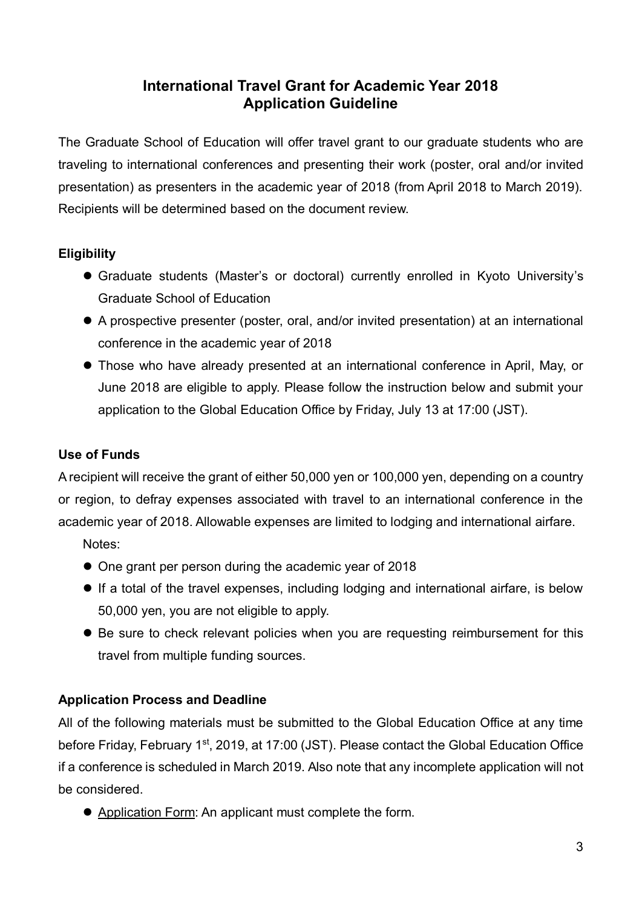# **International Travel Grant for Academic Year 2018 Application Guideline**

The Graduate School of Education will offer travel grant to our graduate students who are traveling to international conferences and presenting their work (poster, oral and/or invited presentation) as presenters in the academic year of 2018 (from April 2018 to March 2019). Recipients will be determined based on the document review.

## **Eligibility**

- Graduate students (Master's or doctoral) currently enrolled in Kyoto University's Graduate School of Education
- A prospective presenter (poster, oral, and/or invited presentation) at an international conference in the academic year of 2018
- Those who have already presented at an international conference in April, May, or June 2018 are eligible to apply. Please follow the instruction below and submit your application to the Global Education Office by Friday, July 13 at 17:00 (JST).

## **Use of Funds**

A recipient will receive the grant of either 50,000 yen or 100,000 yen, depending on a country or region, to defray expenses associated with travel to an international conference in the academic year of 2018. Allowable expenses are limited to lodging and international airfare.

Notes:

- One grant per person during the academic year of 2018
- If a total of the travel expenses, including lodging and international airfare, is below 50,000 yen, you are not eligible to apply.
- Be sure to check relevant policies when you are requesting reimbursement for this travel from multiple funding sources.

### **Application Process and Deadline**

All of the following materials must be submitted to the Global Education Office at any time before Friday, February 1<sup>st</sup>, 2019, at 17:00 (JST). Please contact the Global Education Office if a conference is scheduled in March 2019. Also note that any incomplete application will not be considered.

Application Form: An applicant must complete the form.